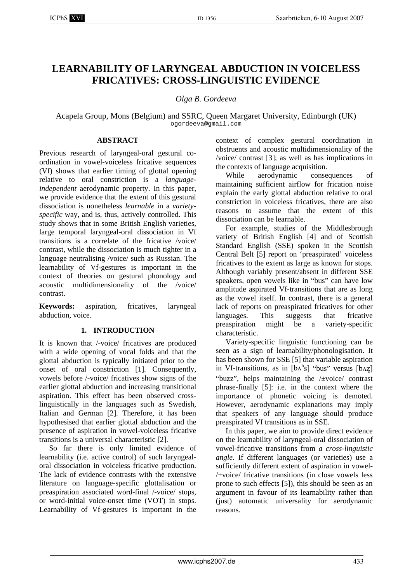# **LEARNABILITY OF LARYNGEAL ABDUCTION IN VOICELESS FRICATIVES: CROSS-LINGUISTIC EVIDENCE**

*Olga B. Gordeeva* 

Acapela Group, Mons (Belgium) and SSRC, Queen Margaret University, Edinburgh (UK) ogordeeva@gmail.com

## **ABSTRACT**

Previous research of laryngeal-oral gestural coordination in vowel-voiceless fricative sequences (Vf) shows that earlier timing of glottal opening relative to oral constriction is a *languageindependent* aerodynamic property. In this paper, we provide evidence that the extent of this gestural dissociation is nonetheless *learnable* in a *varietyspecific* way, and is, thus, actively controlled. This study shows that in some British English varieties, large temporal laryngeal-oral dissociation in Vf transitions is a correlate of the fricative /voice/ contrast, while the dissociation is much tighter in a language neutralising /voice/ such as Russian. The learnability of Vf-gestures is important in the context of theories on gestural phonology and acoustic multidimensionality of the /voice/ contrast.

**Keywords:** aspiration, fricatives, laryngeal abduction, voice.

# **1. INTRODUCTION**

It is known that /-voice/ fricatives are produced with a wide opening of vocal folds and that the glottal abduction is typically initiated prior to the onset of oral constriction [1]. Consequently, vowels before /-voice/ fricatives show signs of the earlier glottal abduction and increasing transitional aspiration. This effect has been observed crosslinguistically in the languages such as Swedish, Italian and German [2]. Therefore, it has been hypothesised that earlier glottal abduction and the presence of aspiration in vowel-voiceless fricative transitions is a universal characteristic [2].

So far there is only limited evidence of learnability (i.e. active control) of such laryngealoral dissociation in voiceless fricative production. The lack of evidence contrasts with the extensive literature on language-specific glottalisation or preaspiration associated word-final /-voice/ stops, or word-initial voice-onset time (VOT) in stops. Learnability of Vf-gestures is important in the context of complex gestural coordination in obstruents and acoustic multidimensionality of the /voice/ contrast [3]; as well as has implications in the contexts of language acquisition.

While aerodynamic consequences of maintaining sufficient airflow for frication noise explain the early glottal abduction relative to oral constriction in voiceless fricatives, there are also reasons to assume that the extent of this dissociation can be learnable.

For example, studies of the Middlesbrough variety of British English [4] and of Scottish Standard English (SSE) spoken in the Scottish Central Belt [5] report on 'preaspirated' voiceless fricatives to the extent as large as known for stops. Although variably present/absent in different SSE speakers, open vowels like in "bus" can have low amplitude aspirated Vf-transitions that are as long as the vowel itself. In contrast, there is a general lack of reports on preaspirated fricatives for other languages. This suggests that fricative preaspiration might be a variety-specific characteristic.

Variety-specific linguistic functioning can be seen as a sign of learnability/phonologisation. It has been shown for SSE [5] that variable aspiration in Vf-transitions, as in  $[b \Lambda^h s]$  "bus" versus  $[b \Lambda z]$ "buzz", helps maintaining the /±voice/ contrast phrase-finally [5]: i.e. in the context where the importance of phonetic voicing is demoted. However, aerodynamic explanations may imply that speakers of any language should produce preaspirated Vf transitions as in SSE.

In this paper, we aim to provide direct evidence on the learnability of laryngeal-oral dissociation of vowel-fricative transitions from *a cross-linguistic angle.* If different languages (or varieties) use a sufficiently different extent of aspiration in vowel- /±voice/ fricative transitions (in close vowels less prone to such effects [5]), this should be seen as an argument in favour of its learnability rather than (just) automatic universality for aerodynamic reasons.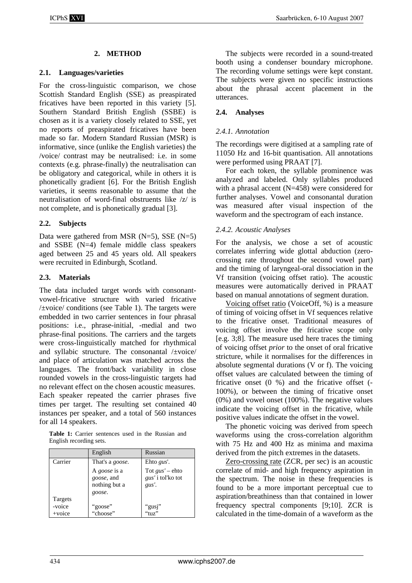# **2. METHOD**

#### **2.1. Languages/varieties**

For the cross-linguistic comparison, we chose Scottish Standard English (SSE) as preaspirated fricatives have been reported in this variety [5]. Southern Standard British English (SSBE) is chosen as it is a variety closely related to SSE, yet no reports of preaspirated fricatives have been made so far. Modern Standard Russian (MSR) is informative, since (unlike the English varieties) the /voice/ contrast may be neutralised: i.e. in some contexts (e.g. phrase-finally) the neutralisation can be obligatory and categorical, while in others it is phonetically gradient [6]. For the British English varieties, it seems reasonable to assume that the neutralisation of word-final obstruents like /z/ is not complete, and is phonetically gradual [3].

#### **2.2. Subjects**

Data were gathered from MSR  $(N=5)$ , SSE  $(N=5)$ and SSBE (N=4) female middle class speakers aged between 25 and 45 years old. All speakers were recruited in Edinburgh, Scotland.

## **2.3. Materials**

The data included target words with consonantvowel-fricative structure with varied fricative /±voice/ conditions (see Table 1). The targets were embedded in two carrier sentences in four phrasal positions: i.e., phrase-initial, -medial and two phrase-final positions. The carriers and the targets were cross-linguistically matched for rhythmical and syllabic structure. The consonantal /±voice/ and place of articulation was matched across the languages. The front/back variability in close rounded vowels in the cross-linguistic targets had no relevant effect on the chosen acoustic measures. Each speaker repeated the carrier phrases five times per target. The resulting set contained 40 instances per speaker, and a total of 560 instances for all 14 speakers.

**Table 1:** Carrier sentences used in the Russian and English recording sets.

|           | English                 | Russian                  |
|-----------|-------------------------|--------------------------|
| Carrier   | That's a <i>goose</i> . | Ehto gus'.               |
|           | A goose is a            | Tot $gus'$ – ehto        |
|           | goose, and              | <i>gus'</i> i tol'ko tot |
|           | nothing but a           | gus'.                    |
|           | goose.                  |                          |
| Targets   |                         |                          |
| -voice    | "goose"<br>"choose"     | "gusj"                   |
| $+$ voice |                         | "tuz"                    |

The subjects were recorded in a sound-treated booth using a condenser boundary microphone. The recording volume settings were kept constant. The subjects were given no specific instructions about the phrasal accent placement in the utterances.

## **2.4. Analyses**

#### *2.4.1. Annotation*

The recordings were digitised at a sampling rate of 11050 Hz and 16-bit quantisation. All annotations were performed using PRAAT [7].

For each token, the syllable prominence was analyzed and labeled. Only syllables produced with a phrasal accent (N=458) were considered for further analyses. Vowel and consonantal duration was measured after visual inspection of the waveform and the spectrogram of each instance.

## *2.4.2. Acoustic Analyses*

For the analysis, we chose a set of acoustic correlates inferring wide glottal abduction (zerocrossing rate throughout the second vowel part) and the timing of laryngeal-oral dissociation in the Vf transition (voicing offset ratio). The acoustic measures were automatically derived in PRAAT based on manual annotations of segment duration.

Voicing offset ratio (VoiceOff, %) is a measure of timing of voicing offset in Vf sequences relative to the fricative onset. Traditional measures of voicing offset involve the fricative scope only [e.g. 3;8]. The measure used here traces the timing of voicing offset *prior* to the onset of oral fricative stricture, while it normalises for the differences in absolute segmental durations (V or f). The voicing offset values are calculated between the timing of fricative onset  $(0, 96)$  and the fricative offset  $(-1, 16)$ 100%), or between the timing of fricative onset (0%) and vowel onset (100%). The negative values indicate the voicing offset in the fricative, while positive values indicate the offset in the vowel.

The phonetic voicing was derived from speech waveforms using the cross-correlation algorithm with 75 Hz and 400 Hz as minima and maxima derived from the pitch extremes in the datasets.

Zero-crossing rate (ZCR, per sec) is an acoustic correlate of mid- and high frequency aspiration in the spectrum. The noise in these frequencies is found to be a more important perceptual cue to aspiration/breathiness than that contained in lower frequency spectral components [9;10]. ZCR is calculated in the time-domain of a waveform as the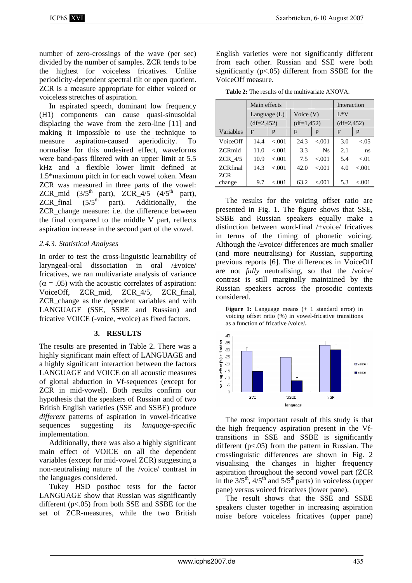number of zero-crossings of the wave (per sec) divided by the number of samples. ZCR tends to be the highest for voiceless fricatives. Unlike periodicity-dependent spectral tilt or open quotient. ZCR is a measure appropriate for either voiced or voiceless stretches of aspiration.

In aspirated speech, dominant low frequency (H1) components can cause quasi-sinusoidal displacing the wave from the zero-line [11] and making it impossible to use the technique to measure aspiration-caused aperiodicity. To normalise for this undesired effect, waveforms were band-pass filtered with an upper limit at 5.5 kHz and a flexible lower limit defined at 1.5\*maximum pitch in for each vowel token. Mean ZCR was measured in three parts of the vowel: ZCR\_mid  $(3/5<sup>th</sup> part)$ , ZCR\_4/5  $(4/5<sup>th</sup> part)$ , ZCR\_final  $(5/5<sup>th</sup>$  part). Additionally, the ZCR\_change measure: i.e. the difference between the final compared to the middle V part, reflects aspiration increase in the second part of the vowel.

# *2.4.3. Statistical Analyses*

In order to test the cross-linguistic learnability of laryngeal-oral dissociation in oral /±voice/ fricatives, we ran multivariate analysis of variance  $(\alpha = .05)$  with the acoustic correlates of aspiration: VoiceOff, ZCR\_mid, ZCR\_4/5, ZCR\_final, ZCR\_change as the dependent variables and with LANGUAGE (SSE, SSBE and Russian) and fricative VOICE (-voice, +voice) as fixed factors.

# **3. RESULTS**

The results are presented in Table 2. There was a highly significant main effect of LANGUAGE and a highly significant interaction between the factors LANGUAGE and VOICE on all acoustic measures of glottal abduction in Vf-sequences (except for ZCR in mid-vowel). Both results confirm our hypothesis that the speakers of Russian and of two British English varieties (SSE and SSBE) produce *different* patterns of aspiration in vowel-fricative sequences suggesting its *language-specific* implementation.

Additionally, there was also a highly significant main effect of VOICE on all the dependent variables (except for mid-vowel ZCR) suggesting a non-neutralising nature of the /voice/ contrast in the languages considered.

Tukey HSD posthoc tests for the factor LANGUAGE show that Russian was significantly different (p<.05) from both SSE and SSBE for the set of ZCR-measures, while the two British English varieties were not significantly different from each other. Russian and SSE were both significantly  $(p<.05)$  different from SSBE for the VoiceOff measure.

**Table 2:** The results of the multivariate ANOVA.

|                 | Main effects   |        |              |           | Interaction  |        |
|-----------------|----------------|--------|--------------|-----------|--------------|--------|
|                 | Language $(L)$ |        | Voice $(V)$  |           | $I*V$        |        |
|                 | $(df=2,452)$   |        | $(df=1,452)$ |           | $(df=2,452)$ |        |
| Variables       | F              | P      | F            | P         | F            | P      |
| VoiceOff        | 14.4           | < 001  | 24.3         | < 001     | 3.0          | < 05   |
| <b>ZCRmid</b>   | 11.0           | < 0.01 | 3.3          | <b>Ns</b> | 2.1          | ns     |
| ZCR $4/5$       | 10.9           | < 001  | 7.5          | < 001     | 5.4          | < 01   |
| <b>ZCRfinal</b> | 14.3           | < 001  | 42.0         | < 001     | 4.0          | < 001  |
| ZCR             |                |        |              |           |              |        |
| change          | 9.7            | < 0.01 | 63.2         | < 0.01    | 5.3          | < 0.01 |

The results for the voicing offset ratio are presented in Fig. 1. The figure shows that SSE, SSBE and Russian speakers equally make a distinction between word-final /±voice/ fricatives in terms of the timing of phonetic voicing. Although the /±voice/ differences are much smaller (and more neutralising) for Russian, supporting previous reports [6]. The differences in VoiceOff are not *fully* neutralising, so that the /voice/ contrast is still marginally maintained by the Russian speakers across the prosodic contexts considered.

**Figure 1:** Language means (+ 1 standard error) in voicing offset ratio (%) in vowel-fricative transitions as a function of fricative /voice/**.**



The most important result of this study is that the high frequency aspiration present in the Vftransitions in SSE and SSBE is significantly different (p<.05) from the pattern in Russian. The crosslinguistic differences are shown in Fig. 2 visualising the changes in higher frequency aspiration throughout the second vowel part (ZCR in the  $3/5$ <sup>th</sup>,  $4/5$ <sup>th</sup> and  $5/5$ <sup>th</sup> parts) in voiceless (upper pane) versus voiced fricatives (lower pane).

The result shows that the SSE and SSBE speakers cluster together in increasing aspiration noise before voiceless fricatives (upper pane)